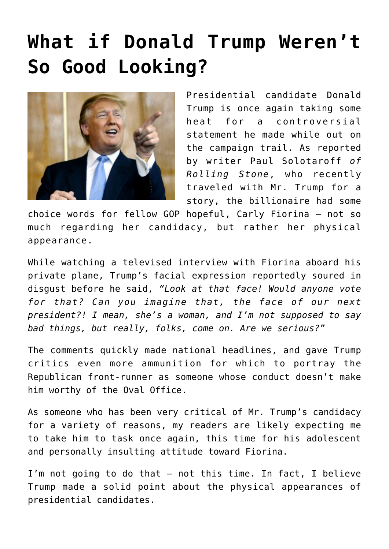## **[What if Donald Trump Weren't](https://bernardgoldberg.com/what-if-donald-trump-werent-so-good-looking/) [So Good Looking?](https://bernardgoldberg.com/what-if-donald-trump-werent-so-good-looking/)**



Presidential candidate Donald Trump is once again taking some heat for a controversial statement he made while out on the campaign trail. As reported by writer Paul Solotaroff *of Rolling Stone*, who recently traveled with Mr. Trump for a story, the billionaire had some

choice words for fellow GOP hopeful, Carly Fiorina — not so much regarding her candidacy, but rather her physical appearance.

While watching a televised interview with Fiorina aboard his private plane, Trump's facial expression reportedly soured in disgust before he said, *"Look at that face! Would anyone vote for that? Can you imagine that, the face of our next president?! I mean, she's a woman, and I'm not supposed to say bad things, but really, folks, come on. Are we serious?"*

The comments quickly made national headlines, and gave Trump critics even more ammunition for which to portray the Republican front-runner as someone whose conduct doesn't make him worthy of the Oval Office.

As someone who has been very critical of Mr. Trump's candidacy for a variety of reasons, my readers are likely expecting me to take him to task once again, this time for his adolescent and personally insulting attitude toward Fiorina.

I'm not going to do that — not this time. In fact, I believe Trump made a solid point about the physical appearances of presidential candidates.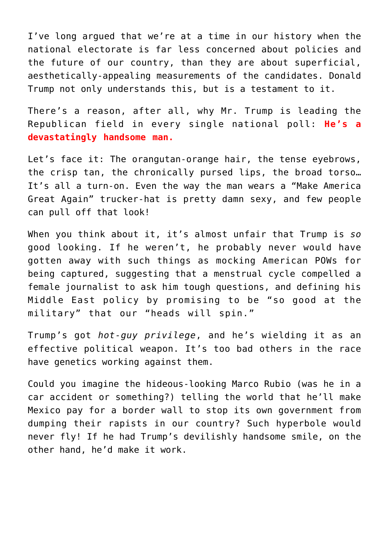I've long argued that we're at a time in our history when the national electorate is far less concerned about policies and the future of our country, than they are about superficial, aesthetically-appealing measurements of the candidates. Donald Trump not only understands this, but is a testament to it.

There's a reason, after all, why Mr. Trump is leading the Republican field in every single national poll: **He's a devastatingly handsome man.**

Let's face it: The orangutan-orange hair, the tense eyebrows, the crisp tan, the chronically pursed lips, the broad torso… It's all a turn-on. Even the way the man wears a "Make America Great Again" trucker-hat is pretty damn sexy, and few people can pull off that look!

When you think about it, it's almost unfair that Trump is *so* good looking. If he weren't, he probably never would have gotten away with such things as mocking American POWs for being captured, suggesting that a menstrual cycle compelled a female journalist to ask him tough questions, and defining his Middle East policy by promising to be "so good at the military" that our "heads will spin."

Trump's got *hot-guy privilege*, and he's wielding it as an effective political weapon. It's too bad others in the race have genetics working against them.

Could you imagine the hideous-looking Marco Rubio (was he in a car accident or something?) telling the world that he'll make Mexico pay for a border wall to stop its own government from dumping their rapists in our country? Such hyperbole would never fly! If he had Trump's devilishly handsome smile, on the other hand, he'd make it work.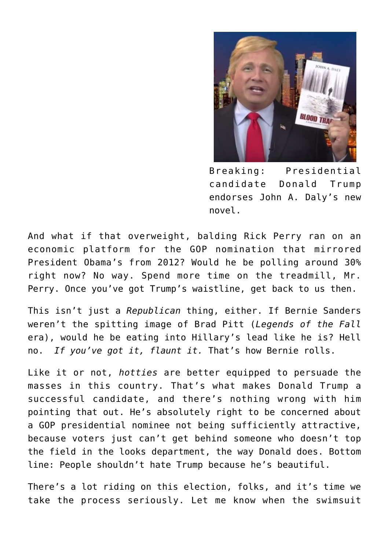

Breaking: Presidential candidate Donald Trump endorses John A. Daly's new novel.

And what if that overweight, balding Rick Perry ran on an economic platform for the GOP nomination that mirrored President Obama's from 2012? Would he be polling around 30% right now? No way. Spend more time on the treadmill, Mr. Perry. Once you've got Trump's waistline, get back to us then.

This isn't just a *Republican* thing, either. If Bernie Sanders weren't the spitting image of Brad Pitt (*Legends of the Fall* era), would he be eating into Hillary's lead like he is? Hell no. *If you've got it, flaunt it.* That's how Bernie rolls.

Like it or not, *hotties* are better equipped to persuade the masses in this country. That's what makes Donald Trump a successful candidate, and there's nothing wrong with him pointing that out. He's absolutely right to be concerned about a GOP presidential nominee not being sufficiently attractive, because voters just can't get behind someone who doesn't top the field in the looks department, the way Donald does. Bottom line: People shouldn't hate Trump because he's beautiful.

There's a lot riding on this election, folks, and it's time we take the process seriously. Let me know when the swimsuit